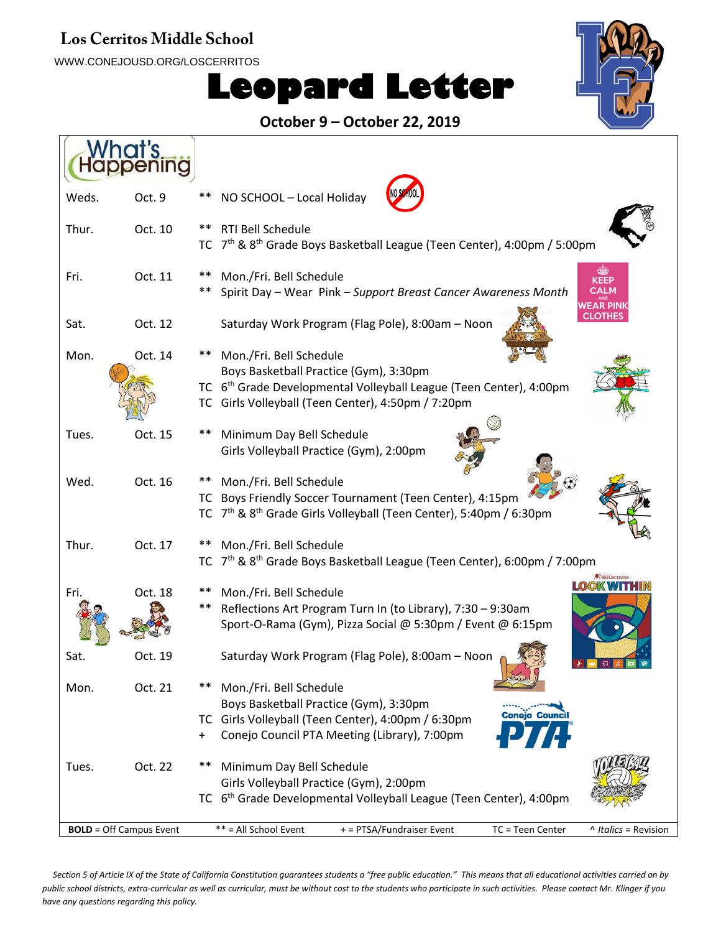#### Los Cerritos Middle School

WWW.CONEJOUSD.ORG/LOSCERRITOS

# **Leopard Letter**



#### **October 9 – October 22, 2019**

| Weds. | Oct. 9                         | NO SCHOOL - Local Holiday                                                                            |
|-------|--------------------------------|------------------------------------------------------------------------------------------------------|
| Thur. | Oct. 10                        | RTI Bell Schedule                                                                                    |
|       |                                | 7 <sup>th</sup> & 8 <sup>th</sup> Grade Boys Basketball League (Teen Center), 4:00pm / 5:00pm<br>TC. |
| Fri.  | Oct. 11                        | **<br>Mon./Fri. Bell Schedule<br>KEEP                                                                |
|       |                                | Spirit Day - Wear Pink - Support Breast Cancer Awareness Month                                       |
| Sat.  | Oct. 12                        | Saturday Work Program (Flag Pole), 8:00am - Noon                                                     |
| Mon.  | Oct. 14                        | Mon./Fri. Bell Schedule                                                                              |
|       |                                | Boys Basketball Practice (Gym), 3:30pm                                                               |
|       |                                | TC 6 <sup>th</sup> Grade Developmental Volleyball League (Teen Center), 4:00pm                       |
|       |                                | TC Girls Volleyball (Teen Center), 4:50pm / 7:20pm                                                   |
| Tues. | Oct. 15                        | Minimum Day Bell Schedule<br>$***$                                                                   |
|       |                                | Girls Volleyball Practice (Gym), 2:00pm                                                              |
| Wed.  | Oct. 16                        | Mon./Fri. Bell Schedule                                                                              |
|       |                                | TC Boys Friendly Soccer Tournament (Teen Center), 4:15pm                                             |
|       |                                | TC 7 <sup>th</sup> & 8 <sup>th</sup> Grade Girls Volleyball (Teen Center), 5:40pm / 6:30pm           |
| Thur. | Oct. 17                        | Mon./Fri. Bell Schedule<br>$***$                                                                     |
|       |                                | 7 <sup>th</sup> & 8 <sup>th</sup> Grade Boys Basketball League (Teen Center), 6:00pm / 7:00pm<br>ТC  |
| Fri.  | Oct. 18                        | Mon./Fri. Bell Schedule                                                                              |
|       |                                | **<br>Reflections Art Program Turn In (to Library), 7:30 - 9:30am                                    |
|       |                                | Sport-O-Rama (Gym), Pizza Social @ 5:30pm / Event @ 6:15pm                                           |
| Sat.  | Oct. 19                        | Saturday Work Program (Flag Pole), 8:00am - Noon                                                     |
| Mon.  | Oct. 21                        | Mon./Fri. Bell Schedule                                                                              |
|       |                                | Boys Basketball Practice (Gym), 3:30pm<br><b>Conejo Council</b>                                      |
|       |                                | TC Girls Volleyball (Teen Center), 4:00pm / 6:30pm                                                   |
|       |                                | Conejo Council PTA Meeting (Library), 7:00pm<br>+                                                    |
| Tues. | Oct. 22                        | Minimum Day Bell Schedule<br>$***$                                                                   |
|       |                                | Girls Volleyball Practice (Gym), 2:00pm                                                              |
|       |                                | TC 6 <sup>th</sup> Grade Developmental Volleyball League (Teen Center), 4:00pm                       |
|       | <b>BOLD</b> = Off Campus Event | ** = All School Event<br>+ = PTSA/Fundraiser Event<br>TC = Teen Center<br>^ Italics = Revision       |
|       |                                |                                                                                                      |

*Section 5 of Article IX of the State of California Constitution guarantees students a "free public education." This means that all educational activities carried on by public school districts, extra-curricular as well as curricular, must be without cost to the students who participate in such activities. Please contact Mr. Klinger if you have any questions regarding this policy.*